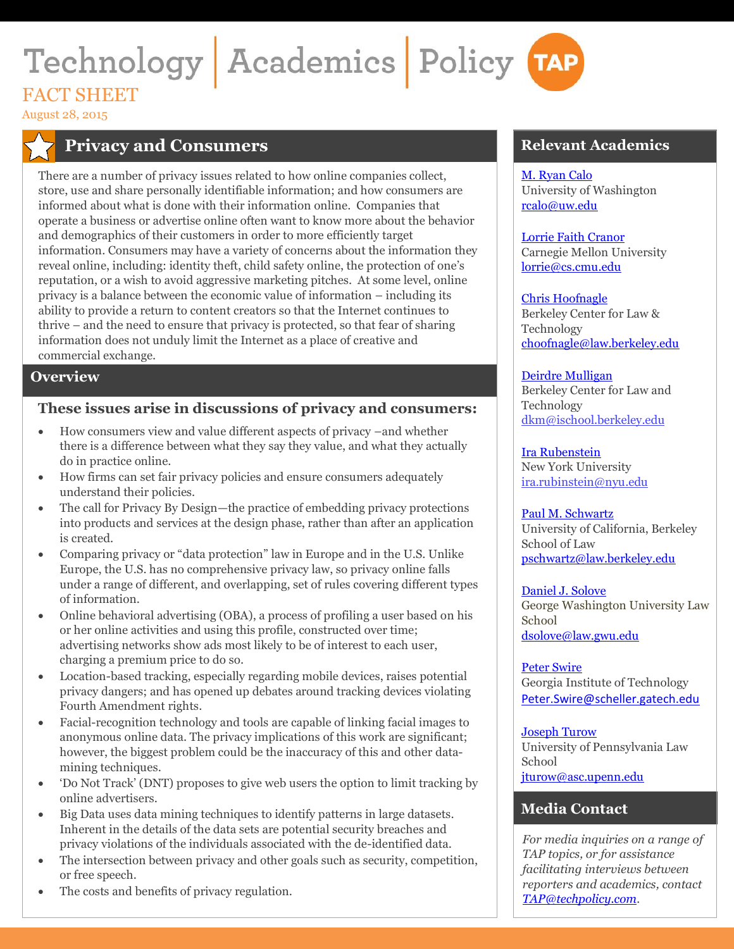# Technology Academics Policy TAP **FACT SHEET**

August 28, 2015

# **Privacy and Consumers**

There are a number of privacy issues related to how online companies collect, store, use and share personally identifiable information; and how consumers are informed about what is done with their information online. Companies that operate a business or advertise online often want to know more about the behavior and demographics of their customers in order to more efficiently target information. Consumers may have a variety of concerns about the information they reveal online, including: identity theft, child safety online, the protection of one's reputation, or a wish to avoid aggressive marketing pitches. At some level, online privacy is a balance between the economic value of information – including its ability to provide a return to content creators so that the Internet continues to thrive – and the need to ensure that privacy is protected, so that fear of sharing information does not unduly limit the Internet as a place of creative and commercial exchange.

#### **Overview**

#### **These issues arise in discussions of privacy and consumers:**

- How consumers view and value different aspects of privacy –and whether there is a difference between what they say they value, and what they actually do in practice online.
- How firms can set fair privacy policies and ensure consumers adequately understand their policies.
- The call for Privacy By Design—the practice of embedding privacy protections into products and services at the design phase, rather than after an application is created.
- Comparing privacy or "data protection" law in Europe and in the U.S. Unlike Europe, the U.S. has no comprehensive privacy law, so privacy online falls under a range of different, and overlapping, set of rules covering different types of information.
- Online behavioral advertising (OBA), a process of profiling a user based on his or her online activities and using this profile, constructed over time; advertising networks show ads most likely to be of interest to each user, charging a premium price to do so.
- Location-based tracking, especially regarding mobile devices, raises potential privacy dangers; and has opened up debates around tracking devices violating Fourth Amendment rights.
- Facial-recognition technology and tools are capable of linking facial images to anonymous online data. The privacy implications of this work are significant; however, the biggest problem could be the inaccuracy of this and other datamining techniques.
- 'Do Not Track' (DNT) proposes to give web users the option to limit tracking by online advertisers.
- Big Data uses data mining techniques to identify patterns in large datasets. Inherent in the details of the data sets are potential security breaches and privacy violations of the individuals associated with the de-identified data.
- The intersection between privacy and other goals such as security, competition, or free speech.
- The costs and benefits of privacy regulation.

### **Relevant Academics**

[M. Ryan Calo](http://www.techpolicy.com/Academics/Calo.aspx) University of Washington [rcalo@uw.edu](mailto:rcalo@uw.edu)

[Lorrie Faith Cranor](http://techpolicy.com/Academics/Cranor.aspx) Carnegie Mellon University [lorrie@cs.cmu.edu](mailto:%20lorrie@cs.cmu.edu)

#### [Chris Hoofnagle](http://techpolicy.com/Academics/Chris-Hoofnagle.aspx)

Berkeley Center for Law & Technology [choofnagle@law.berkeley.edu](mailto:%20choofnagle@law.berkeley.edu)

#### [Deirdre Mulligan](http://www.techpolicy.com/Academics/Deirdre-Mulligan.aspx)

Berkeley Center for Law and Technology [dkm@ischool.berkeley.edu](mailto:dkm@ischool.berkeley.edu)

[Ira Rubenstein](http://www.techpolicy.com/Academics/Rubinstein.aspx) New York University [ira.rubinstein@nyu.edu](mailto:ira.rubinstein@nyu.edu)

[Paul M. Schwartz](http://techpolicy.com/Academics/Schwartz.aspx) University of California, Berkeley School of Law [pschwartz@law.berkeley.edu](mailto:%20pschwartz@law.berkeley.edu)

[Daniel J. Solove](http://www.techpolicy.com/Academics/Solove.aspx) George Washington University Law School [dsolove@law.gwu.edu](mailto:dsolove@law.gwu.edu)

[Peter Swire](http://www.techpolicy.com/Academics/Swire.aspx) Georgia Institute of Technology [Peter.Swire@scheller.gatech.edu](mailto:%20Peter.Swire@scheller.gatech.edu)

[Joseph Turow](http://www.techpolicy.com/Academics/Turow.aspx)

University of Pennsylvania Law School [jturow@asc.upenn.edu](mailto:%20jturow@asc.upenn.edu)

## **Media Contact**

*For media inquiries on a range of TAP topics, or for assistance facilitating interviews between reporters and academics, contact [TAP@techpolicy.com.](mailto:TAP@techpolicy.com)*